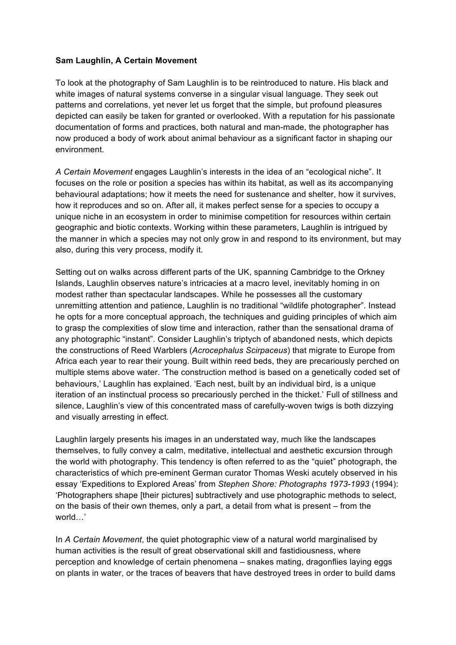## **Sam Laughlin, A Certain Movement**

To look at the photography of Sam Laughlin is to be reintroduced to nature. His black and white images of natural systems converse in a singular visual language. They seek out patterns and correlations, yet never let us forget that the simple, but profound pleasures depicted can easily be taken for granted or overlooked. With a reputation for his passionate documentation of forms and practices, both natural and man-made, the photographer has now produced a body of work about animal behaviour as a significant factor in shaping our environment.

*A Certain Movement* engages Laughlin's interests in the idea of an "ecological niche". It focuses on the role or position a species has within its habitat, as well as its accompanying behavioural adaptations; how it meets the need for sustenance and shelter, how it survives, how it reproduces and so on. After all, it makes perfect sense for a species to occupy a unique niche in an ecosystem in order to minimise competition for resources within certain geographic and biotic contexts. Working within these parameters, Laughlin is intrigued by the manner in which a species may not only grow in and respond to its environment, but may also, during this very process, modify it.

Setting out on walks across different parts of the UK, spanning Cambridge to the Orkney Islands, Laughlin observes nature's intricacies at a macro level, inevitably homing in on modest rather than spectacular landscapes. While he possesses all the customary unremitting attention and patience, Laughlin is no traditional "wildlife photographer". Instead he opts for a more conceptual approach, the techniques and guiding principles of which aim to grasp the complexities of slow time and interaction, rather than the sensational drama of any photographic "instant". Consider Laughlin's triptych of abandoned nests, which depicts the constructions of Reed Warblers (*Acrocephalus Scirpaceus*) that migrate to Europe from Africa each year to rear their young. Built within reed beds, they are precariously perched on multiple stems above water. 'The construction method is based on a genetically coded set of behaviours,' Laughlin has explained. 'Each nest, built by an individual bird, is a unique iteration of an instinctual process so precariously perched in the thicket.' Full of stillness and silence, Laughlin's view of this concentrated mass of carefully-woven twigs is both dizzying and visually arresting in effect.

Laughlin largely presents his images in an understated way, much like the landscapes themselves, to fully convey a calm, meditative, intellectual and aesthetic excursion through the world with photography. This tendency is often referred to as the "quiet" photograph, the characteristics of which pre-eminent German curator Thomas Weski acutely observed in his essay 'Expeditions to Explored Areas' from *Stephen Shore: Photographs 1973-1993* (1994): 'Photographers shape [their pictures] subtractively and use photographic methods to select, on the basis of their own themes, only a part, a detail from what is present – from the world…'

In *A Certain Movement*, the quiet photographic view of a natural world marginalised by human activities is the result of great observational skill and fastidiousness, where perception and knowledge of certain phenomena – snakes mating, dragonflies laying eggs on plants in water, or the traces of beavers that have destroyed trees in order to build dams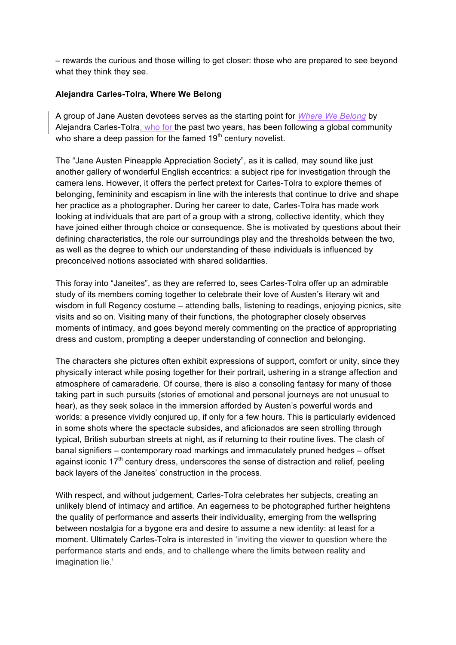– rewards the curious and those willing to get closer: those who are prepared to see beyond what they think they see.

## **Alejandra Carles-Tolra, Where We Belong**

A group of Jane Austen devotees serves as the starting point for *Where We Belong* by Alejandra Carles-Tolra, who for the past two years, has been following a global community who share a deep passion for the famed  $19<sup>th</sup>$  century novelist.

The "Jane Austen Pineapple Appreciation Society", as it is called, may sound like just another gallery of wonderful English eccentrics: a subject ripe for investigation through the camera lens. However, it offers the perfect pretext for Carles-Tolra to explore themes of belonging, femininity and escapism in line with the interests that continue to drive and shape her practice as a photographer. During her career to date, Carles-Tolra has made work looking at individuals that are part of a group with a strong, collective identity, which they have joined either through choice or consequence. She is motivated by questions about their defining characteristics, the role our surroundings play and the thresholds between the two, as well as the degree to which our understanding of these individuals is influenced by preconceived notions associated with shared solidarities.

This foray into "Janeites", as they are referred to, sees Carles-Tolra offer up an admirable study of its members coming together to celebrate their love of Austen's literary wit and wisdom in full Regency costume – attending balls, listening to readings, enjoying picnics, site visits and so on. Visiting many of their functions, the photographer closely observes moments of intimacy, and goes beyond merely commenting on the practice of appropriating dress and custom, prompting a deeper understanding of connection and belonging.

The characters she pictures often exhibit expressions of support, comfort or unity, since they physically interact while posing together for their portrait, ushering in a strange affection and atmosphere of camaraderie. Of course, there is also a consoling fantasy for many of those taking part in such pursuits (stories of emotional and personal journeys are not unusual to hear), as they seek solace in the immersion afforded by Austen's powerful words and worlds: a presence vividly conjured up, if only for a few hours. This is particularly evidenced in some shots where the spectacle subsides, and aficionados are seen strolling through typical, British suburban streets at night, as if returning to their routine lives. The clash of banal signifiers – contemporary road markings and immaculately pruned hedges – offset against iconic 17<sup>th</sup> century dress, underscores the sense of distraction and relief, peeling back layers of the Janeites' construction in the process.

With respect, and without judgement, Carles-Tolra celebrates her subjects, creating an unlikely blend of intimacy and artifice. An eagerness to be photographed further heightens the quality of performance and asserts their individuality, emerging from the wellspring between nostalgia for a bygone era and desire to assume a new identity: at least for a moment. Ultimately Carles-Tolra is interested in 'inviting the viewer to question where the performance starts and ends, and to challenge where the limits between reality and imagination lie.'